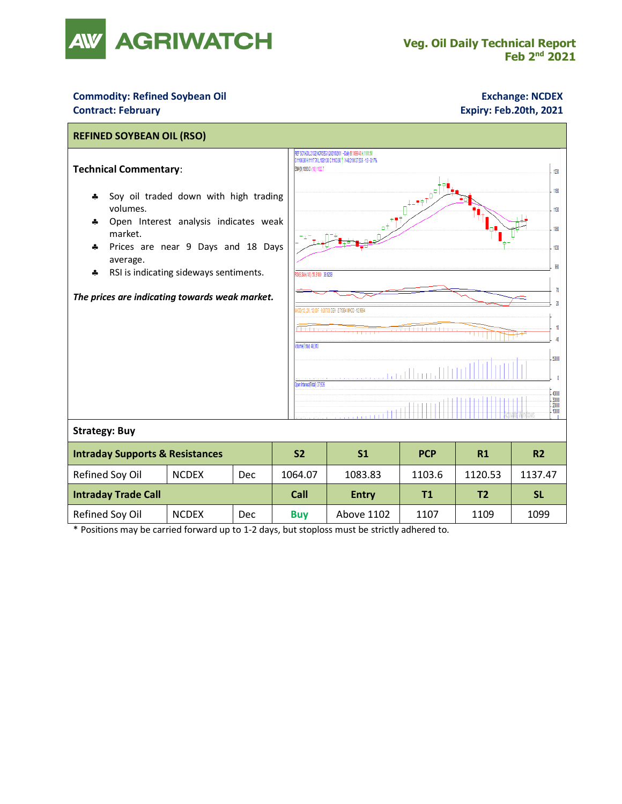

## **Commodity: Refined Soybean Oil <b>Exchange: NCDEX Exchange: NCDEX Contract: February Expiry: Feb.20th, 2021**